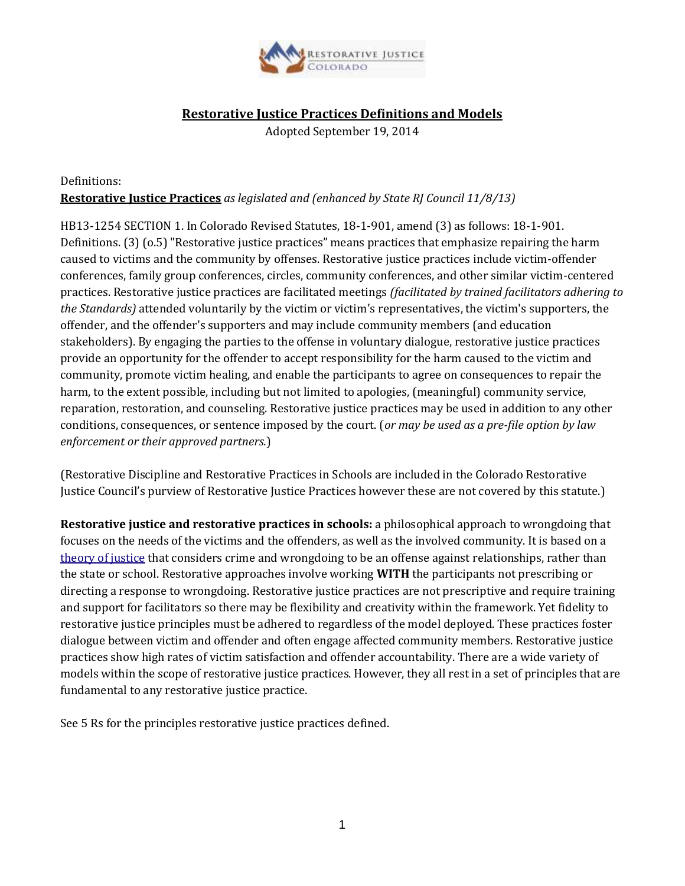

# **Restorative Justice Practices Definitions and Models**

Adopted September 19, 2014

# Definitions: **Restorative Justice Practices** *as legislated and (enhanced by State RJ Council 11/8/13)*

HB13-1254 SECTION 1. In Colorado Revised Statutes, 18-1-901, amend (3) as follows: 18-1-901. Definitions. (3) (o.5) "Restorative justice practices" means practices that emphasize repairing the harm caused to victims and the community by offenses. Restorative justice practices include victim-offender conferences, family group conferences, circles, community conferences, and other similar victim-centered practices. Restorative justice practices are facilitated meetings *(facilitated by trained facilitators adhering to the Standards)* attended voluntarily by the victim or victim's representatives, the victim's supporters, the offender, and the offender's supporters and may include community members (and education stakeholders). By engaging the parties to the offense in voluntary dialogue, restorative justice practices provide an opportunity for the offender to accept responsibility for the harm caused to the victim and community, promote victim healing, and enable the participants to agree on consequences to repair the harm, to the extent possible, including but not limited to apologies, (meaningful) community service, reparation, restoration, and counseling. Restorative justice practices may be used in addition to any other conditions, consequences, or sentence imposed by the court. (*or may be used as a pre-file option by law enforcement or their approved partners.*)

(Restorative Discipline and Restorative Practices in Schools are included in the Colorado Restorative Justice Council's purview of Restorative Justice Practices however these are not covered by this statute.)

**Restorative justice and restorative practices in schools:** a philosophical approach to wrongdoing that focuses on the needs of the victims and the offenders, as well as the involved community. It is based on a [theory of justice](http://en.wikipedia.org/wiki/Theory_of_justice) that considers crime and wrongdoing to be an offense against relationships, rather than the state or school. Restorative approaches involve working **WITH** the participants not prescribing or directing a response to wrongdoing. Restorative justice practices are not prescriptive and require training and support for facilitators so there may be flexibility and creativity within the framework. Yet fidelity to restorative justice principles must be adhered to regardless of the model deployed. These practices foster dialogue between victim and offender and often engage affected community members. Restorative justice practices show high rates of victim satisfaction and offender accountability. There are a wide variety of models within the scope of restorative justice practices. However, they all rest in a set of principles that are fundamental to any restorative justice practice.

See 5 Rs for the principles restorative justice practices defined.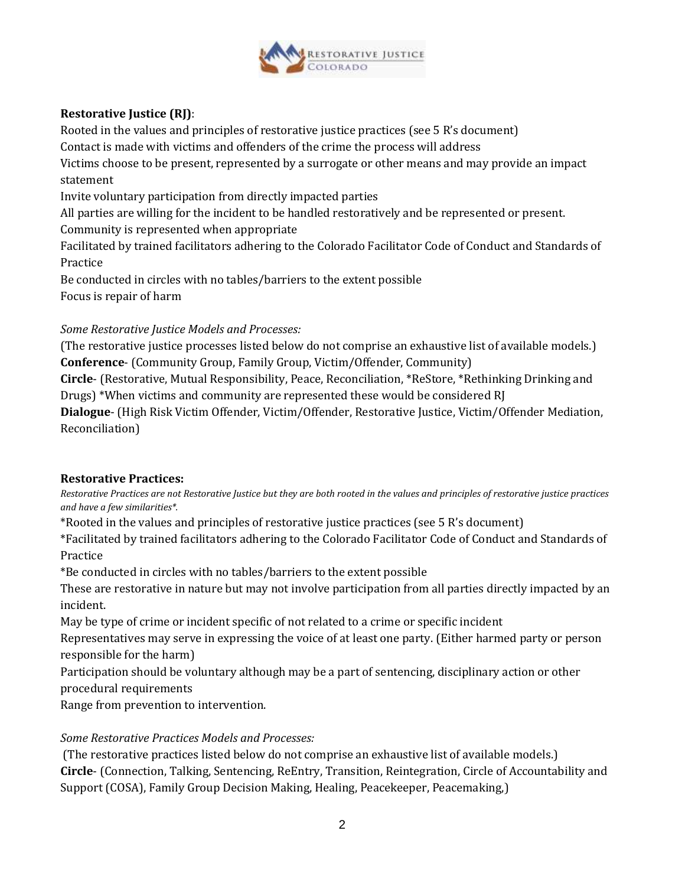

# **Restorative Justice (RJ)**:

Rooted in the values and principles of restorative justice practices (see 5 R's document)

Contact is made with victims and offenders of the crime the process will address

Victims choose to be present, represented by a surrogate or other means and may provide an impact statement

Invite voluntary participation from directly impacted parties

All parties are willing for the incident to be handled restoratively and be represented or present.

Community is represented when appropriate

Facilitated by trained facilitators adhering to the Colorado Facilitator Code of Conduct and Standards of Practice

Be conducted in circles with no tables/barriers to the extent possible Focus is repair of harm

# *Some Restorative Justice Models and Processes:*

(The restorative justice processes listed below do not comprise an exhaustive list of available models.) **Conference**- (Community Group, Family Group, Victim/Offender, Community)

**Circle**- (Restorative, Mutual Responsibility, Peace, Reconciliation, \*ReStore, \*Rethinking Drinking and Drugs) \*When victims and community are represented these would be considered RJ

**Dialogue**- (High Risk Victim Offender, Victim/Offender, Restorative Justice, Victim/Offender Mediation, Reconciliation)

# **Restorative Practices:**

*Restorative Practices are not Restorative Justice but they are both rooted in the values and principles of restorative justice practices and have a few similarities\*.*

\*Rooted in the values and principles of restorative justice practices (see 5 R's document)

\*Facilitated by trained facilitators adhering to the Colorado Facilitator Code of Conduct and Standards of Practice

\*Be conducted in circles with no tables/barriers to the extent possible

These are restorative in nature but may not involve participation from all parties directly impacted by an incident.

May be type of crime or incident specific of not related to a crime or specific incident

Representatives may serve in expressing the voice of at least one party. (Either harmed party or person responsible for the harm)

Participation should be voluntary although may be a part of sentencing, disciplinary action or other procedural requirements

Range from prevention to intervention.

# *Some Restorative Practices Models and Processes:*

(The restorative practices listed below do not comprise an exhaustive list of available models.) **Circle**- (Connection, Talking, Sentencing, ReEntry, Transition, Reintegration, Circle of Accountability and Support (COSA), Family Group Decision Making, Healing, Peacekeeper, Peacemaking,)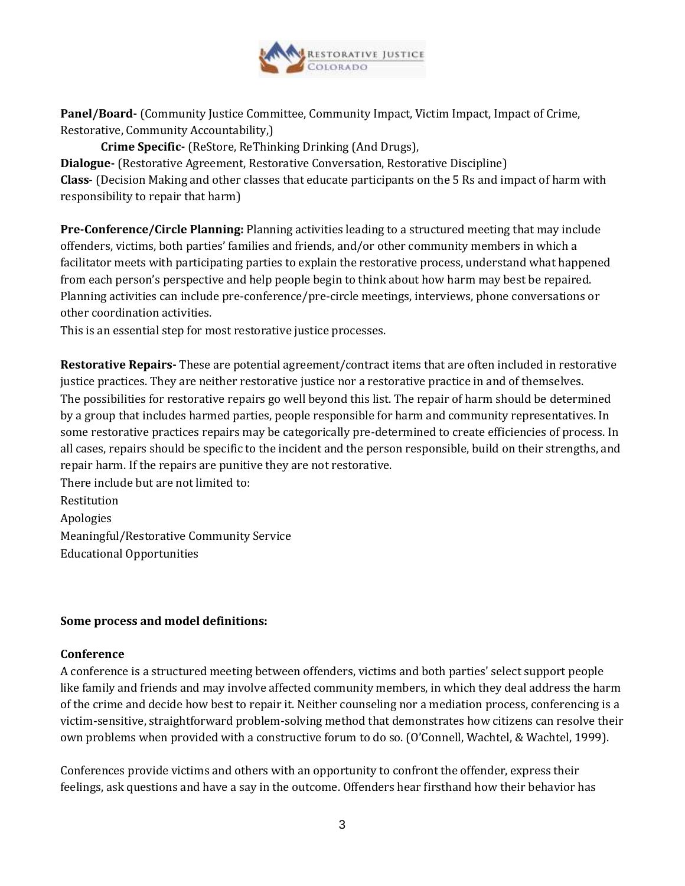

**Panel/Board-** (Community Justice Committee, Community Impact, Victim Impact, Impact of Crime, Restorative, Community Accountability,)

**Crime Specific-** (ReStore, ReThinking Drinking (And Drugs),

**Dialogue-** (Restorative Agreement, Restorative Conversation, Restorative Discipline) **Class**- (Decision Making and other classes that educate participants on the 5 Rs and impact of harm with responsibility to repair that harm)

**Pre-Conference/Circle Planning:** Planning activities leading to a structured meeting that may include offenders, victims, both parties' families and friends, and/or other community members in which a facilitator meets with participating parties to explain the restorative process, understand what happened from each person's perspective and help people begin to think about how harm may best be repaired. Planning activities can include pre-conference/pre-circle meetings, interviews, phone conversations or other coordination activities.

This is an essential step for most restorative justice processes.

**Restorative Repairs-** These are potential agreement/contract items that are often included in restorative justice practices. They are neither restorative justice nor a restorative practice in and of themselves. The possibilities for restorative repairs go well beyond this list. The repair of harm should be determined by a group that includes harmed parties, people responsible for harm and community representatives. In some restorative practices repairs may be categorically pre-determined to create efficiencies of process. In all cases, repairs should be specific to the incident and the person responsible, build on their strengths, and repair harm. If the repairs are punitive they are not restorative.

There include but are not limited to: Restitution Apologies Meaningful/Restorative Community Service Educational Opportunities

### **Some process and model definitions:**

### **Conference**

A conference is a structured meeting between offenders, victims and both parties' select support people like family and friends and may involve affected community members, in which they deal address the harm of the crime and decide how best to repair it. Neither counseling nor a mediation process, conferencing is a victim-sensitive, straightforward problem-solving method that demonstrates how citizens can resolve their own problems when provided with a constructive forum to do so. (O'Connell, Wachtel, & Wachtel, 1999).

Conferences provide victims and others with an opportunity to confront the offender, express their feelings, ask questions and have a say in the outcome. Offenders hear firsthand how their behavior has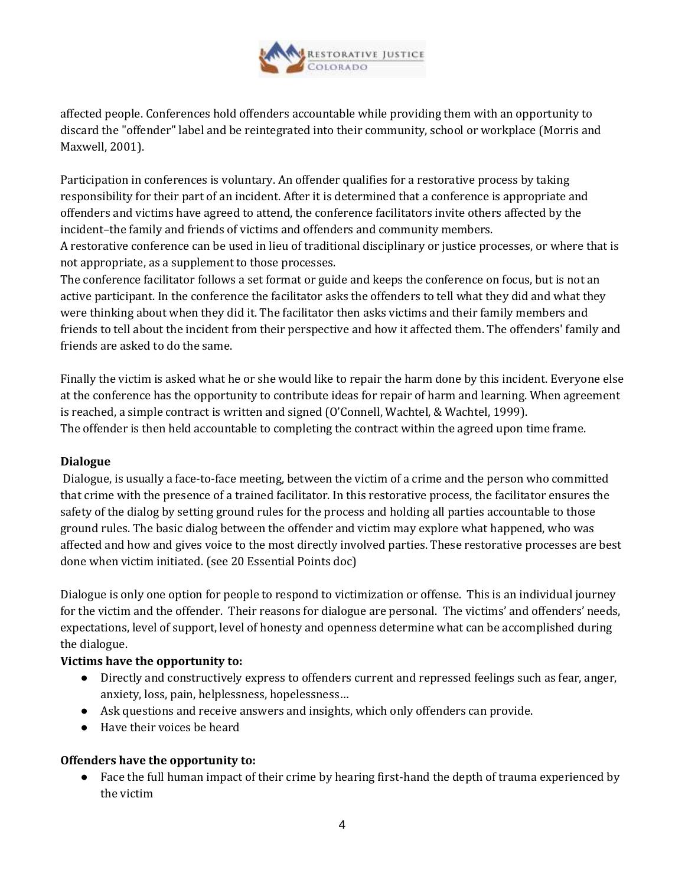

affected people. Conferences hold offenders accountable while providing them with an opportunity to discard the "offender" label and be reintegrated into their community, school or workplace (Morris and Maxwell, 2001).

Participation in conferences is voluntary. An offender qualifies for a restorative process by taking responsibility for their part of an incident. After it is determined that a conference is appropriate and offenders and victims have agreed to attend, the conference facilitators invite others affected by the incident–the family and friends of victims and offenders and community members.

A restorative conference can be used in lieu of traditional disciplinary or justice processes, or where that is not appropriate, as a supplement to those processes.

The conference facilitator follows a set format or guide and keeps the conference on focus, but is not an active participant. In the conference the facilitator asks the offenders to tell what they did and what they were thinking about when they did it. The facilitator then asks victims and their family members and friends to tell about the incident from their perspective and how it affected them. The offenders' family and friends are asked to do the same.

Finally the victim is asked what he or she would like to repair the harm done by this incident. Everyone else at the conference has the opportunity to contribute ideas for repair of harm and learning. When agreement is reached, a simple contract is written and signed (O'Connell, Wachtel, & Wachtel, 1999). The offender is then held accountable to completing the contract within the agreed upon time frame.

# **Dialogue**

Dialogue, is usually a face-to-face meeting, between the victim of a crime and the person who committed that crime with the presence of a trained facilitator. In this restorative process, the facilitator ensures the safety of the dialog by setting ground rules for the process and holding all parties accountable to those ground rules. The basic dialog between the offender and victim may explore what happened, who was affected and how and gives voice to the most directly involved parties. These restorative processes are best done when victim initiated. (see 20 Essential Points doc)

Dialogue is only one option for people to respond to victimization or offense. This is an individual journey for the victim and the offender. Their reasons for dialogue are personal. The victims' and offenders' needs, expectations, level of support, level of honesty and openness determine what can be accomplished during the dialogue.

### **Victims have the opportunity to:**

- Directly and constructively express to offenders current and repressed feelings such as fear, anger, anxiety, loss, pain, helplessness, hopelessness…
- Ask questions and receive answers and insights, which only offenders can provide.
- Have their voices be heard

### **Offenders have the opportunity to:**

● Face the full human impact of their crime by hearing first-hand the depth of trauma experienced by the victim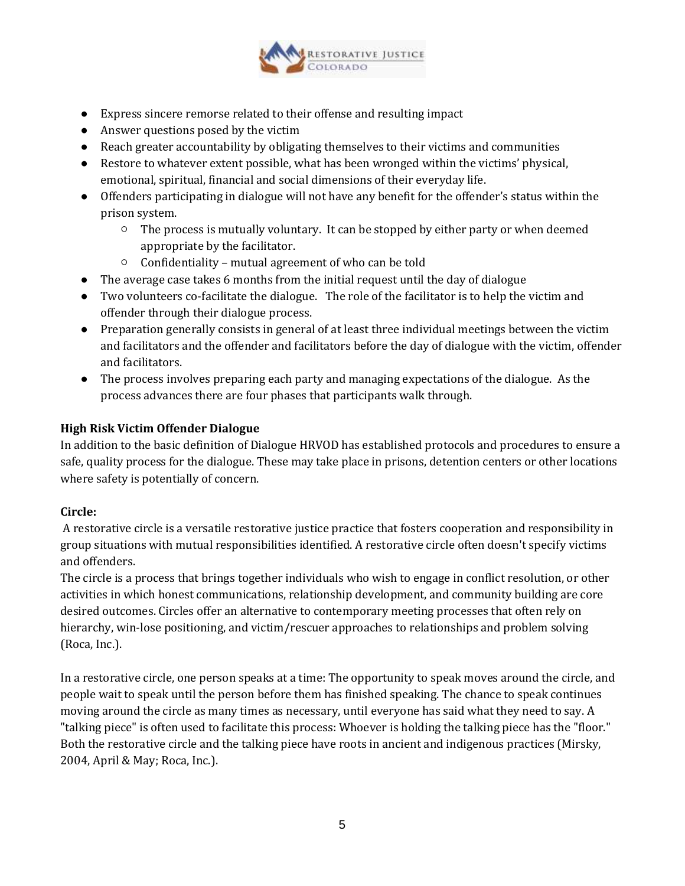

- Express sincere remorse related to their offense and resulting impact
- Answer questions posed by the victim
- Reach greater accountability by obligating themselves to their victims and communities
- Restore to whatever extent possible, what has been wronged within the victims' physical, emotional, spiritual, financial and social dimensions of their everyday life.
- Offenders participating in dialogue will not have any benefit for the offender's status within the prison system.
	- $\circ$  The process is mutually voluntary. It can be stopped by either party or when deemed appropriate by the facilitator.
	- Confidentiality mutual agreement of who can be told
- The average case takes 6 months from the initial request until the day of dialogue
- Two volunteers co-facilitate the dialogue. The role of the facilitator is to help the victim and offender through their dialogue process.
- Preparation generally consists in general of at least three individual meetings between the victim and facilitators and the offender and facilitators before the day of dialogue with the victim, offender and facilitators.
- The process involves preparing each party and managing expectations of the dialogue. As the process advances there are four phases that participants walk through.

### **High Risk Victim Offender Dialogue**

In addition to the basic definition of Dialogue HRVOD has established protocols and procedures to ensure a safe, quality process for the dialogue. These may take place in prisons, detention centers or other locations where safety is potentially of concern.

### **Circle:**

A restorative circle is a versatile restorative justice practice that fosters cooperation and responsibility in group situations with mutual responsibilities identified. A restorative circle often doesn't specify victims and offenders.

The circle is a process that brings together individuals who wish to engage in conflict resolution, or other activities in which honest communications, relationship development, and community building are core desired outcomes. Circles offer an alternative to contemporary meeting processes that often rely on hierarchy, win-lose positioning, and victim/rescuer approaches to relationships and problem solving (Roca, Inc.).

In a restorative circle, one person speaks at a time: The opportunity to speak moves around the circle, and people wait to speak until the person before them has finished speaking. The chance to speak continues moving around the circle as many times as necessary, until everyone has said what they need to say. A "talking piece" is often used to facilitate this process: Whoever is holding the talking piece has the "floor." Both the restorative circle and the talking piece have roots in ancient and indigenous practices (Mirsky, 2004, April & May; Roca, Inc.).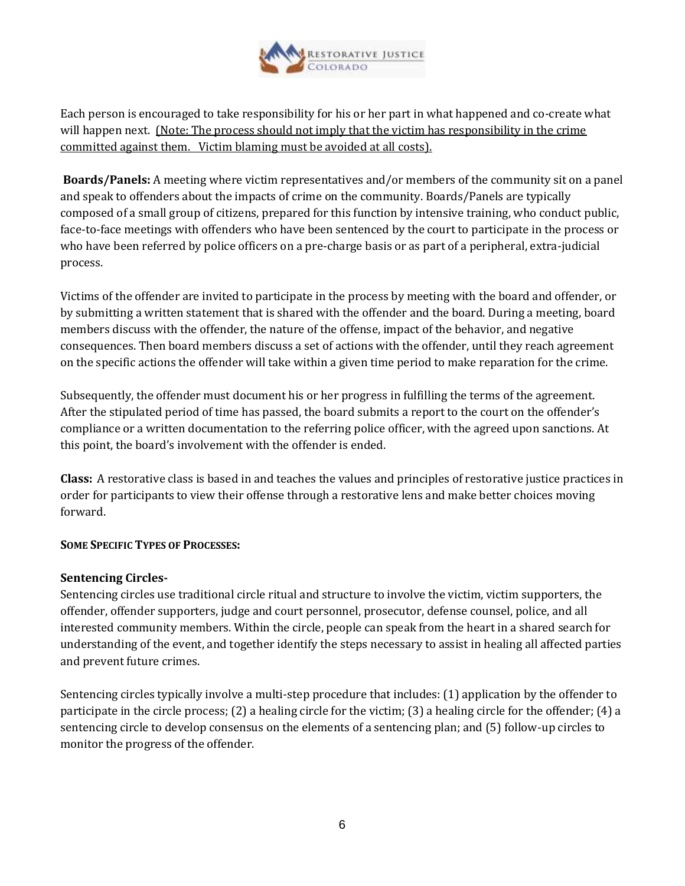

Each person is encouraged to take responsibility for his or her part in what happened and co-create what will happen next. (Note: The process should not imply that the victim has responsibility in the crime committed against them. Victim blaming must be avoided at all costs).

**Boards/Panels:** A meeting where victim representatives and/or members of the community sit on a panel and speak to offenders about the impacts of crime on the community. Boards/Panels are typically composed of a small group of citizens, prepared for this function by intensive training, who conduct public, face-to-face meetings with offenders who have been sentenced by the court to participate in the process or who have been referred by police officers on a pre-charge basis or as part of a peripheral, extra-judicial process.

Victims of the offender are invited to participate in the process by meeting with the board and offender, or by submitting a written statement that is shared with the offender and the board. During a meeting, board members discuss with the offender, the nature of the offense, impact of the behavior, and negative consequences. Then board members discuss a set of actions with the offender, until they reach agreement on the specific actions the offender will take within a given time period to make reparation for the crime.

Subsequently, the offender must document his or her progress in fulfilling the terms of the agreement. After the stipulated period of time has passed, the board submits a report to the court on the offender's compliance or a written documentation to the referring police officer, with the agreed upon sanctions. At this point, the board's involvement with the offender is ended.

**Class:** A restorative class is based in and teaches the values and principles of restorative justice practices in order for participants to view their offense through a restorative lens and make better choices moving forward.

### **SOME SPECIFIC TYPES OF PROCESSES:**

### **Sentencing Circles-**

Sentencing circles use traditional circle ritual and structure to involve the victim, victim supporters, the offender, offender supporters, judge and court personnel, prosecutor, defense counsel, police, and all interested community members. Within the circle, people can speak from the heart in a shared search for understanding of the event, and together identify the steps necessary to assist in healing all affected parties and prevent future crimes.

Sentencing circles typically involve a multi-step procedure that includes: (1) application by the offender to participate in the circle process; (2) a healing circle for the victim; (3) a healing circle for the offender; (4) a sentencing circle to develop consensus on the elements of a sentencing plan; and (5) follow-up circles to monitor the progress of the offender.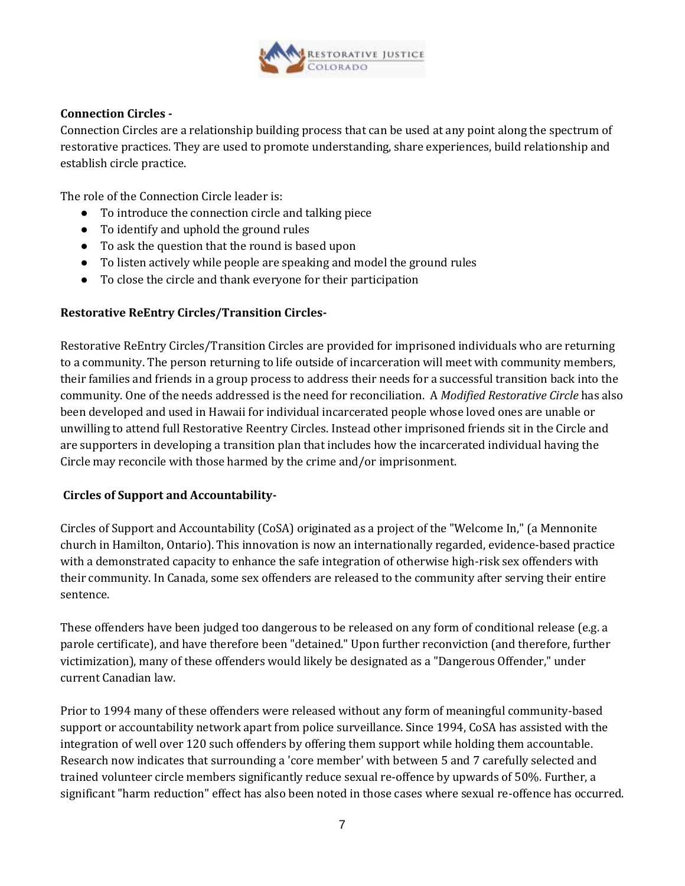

### **Connection Circles -**

Connection Circles are a relationship building process that can be used at any point along the spectrum of restorative practices. They are used to promote understanding, share experiences, build relationship and establish circle practice.

The role of the Connection Circle leader is:

- To introduce the connection circle and talking piece
- To identify and uphold the ground rules
- To ask the question that the round is based upon
- To listen actively while people are speaking and model the ground rules
- To close the circle and thank everyone for their participation

#### **Restorative ReEntry Circles/Transition Circles-**

Restorative ReEntry Circles/Transition Circles are provided for imprisoned individuals who are returning to a community. The person returning to life outside of incarceration will meet with community members, their families and friends in a group process to address their needs for a successful transition back into the community. One of the needs addressed is the need for reconciliation. A *Modified Restorative Circle* has also been developed and used in Hawaii for individual incarcerated people whose loved ones are unable or unwilling to attend full Restorative Reentry Circles. Instead other imprisoned friends sit in the Circle and are supporters in developing a transition plan that includes how the incarcerated individual having the Circle may reconcile with those harmed by the crime and/or imprisonment.

#### **Circles of Support and Accountability-**

Circles of Support and Accountability (CoSA) originated as a project of the "Welcome In," (a Mennonite church in Hamilton, Ontario). This innovation is now an internationally regarded, evidence-based practice with a demonstrated capacity to enhance the safe integration of otherwise high-risk sex offenders with their community. In Canada, some sex offenders are released to the community after serving their entire sentence.

These offenders have been judged too dangerous to be released on any form of conditional release (e.g. a parole certificate), and have therefore been "detained." Upon further reconviction (and therefore, further victimization), many of these offenders would likely be designated as a "Dangerous Offender," under current Canadian law.

Prior to 1994 many of these offenders were released without any form of meaningful community-based support or accountability network apart from police surveillance. Since 1994, CoSA has assisted with the integration of well over 120 such offenders by offering them support while holding them accountable. Research now indicates that surrounding a 'core member' with between 5 and 7 carefully selected and trained volunteer circle members significantly reduce sexual re-offence by upwards of 50%. Further, a significant "harm reduction" effect has also been noted in those cases where sexual re-offence has occurred.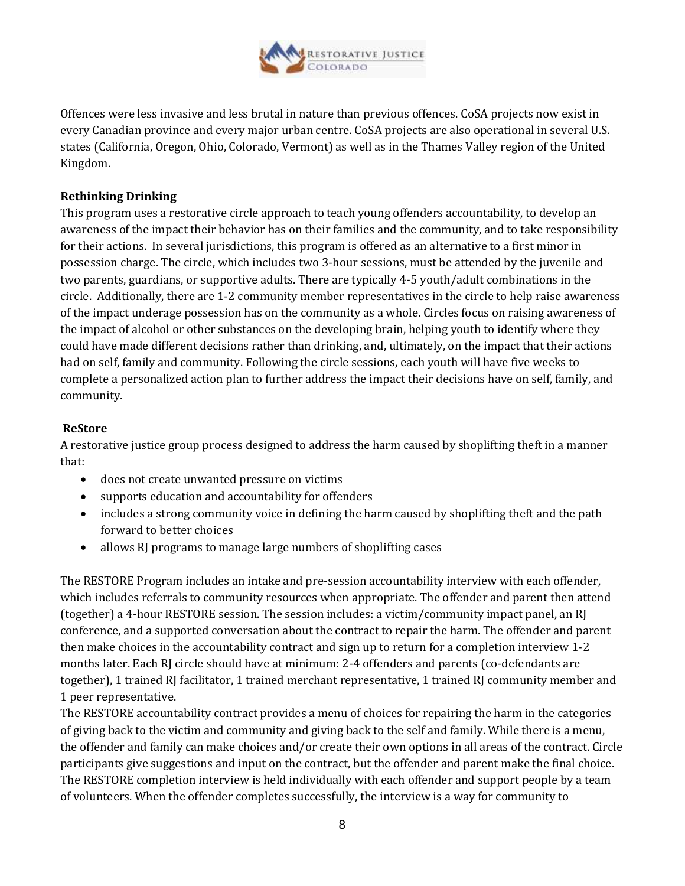

Offences were less invasive and less brutal in nature than previous offences. CoSA projects now exist in every Canadian province and every major urban centre. CoSA projects are also operational in several U.S. states (California, Oregon, Ohio, Colorado, Vermont) as well as in the Thames Valley region of the United Kingdom.

### **Rethinking Drinking**

This program uses a restorative circle approach to teach young offenders accountability, to develop an awareness of the impact their behavior has on their families and the community, and to take responsibility for their actions. In several jurisdictions, this program is offered as an alternative to a first minor in possession charge. The circle, which includes two 3-hour sessions, must be attended by the juvenile and two parents, guardians, or supportive adults. There are typically 4-5 youth/adult combinations in the circle. Additionally, there are 1-2 community member representatives in the circle to help raise awareness of the impact underage possession has on the community as a whole. Circles focus on raising awareness of the impact of alcohol or other substances on the developing brain, helping youth to identify where they could have made different decisions rather than drinking, and, ultimately, on the impact that their actions had on self, family and community. Following the circle sessions, each youth will have five weeks to complete a personalized action plan to further address the impact their decisions have on self, family, and community.

#### **ReStore**

A restorative justice group process designed to address the harm caused by shoplifting theft in a manner that:

- does not create unwanted pressure on victims
- supports education and accountability for offenders
- includes a strong community voice in defining the harm caused by shoplifting theft and the path forward to better choices
- allows RJ programs to manage large numbers of shoplifting cases

The RESTORE Program includes an intake and pre-session accountability interview with each offender, which includes referrals to community resources when appropriate. The offender and parent then attend (together) a 4-hour RESTORE session. The session includes: a victim/community impact panel, an RJ conference, and a supported conversation about the contract to repair the harm. The offender and parent then make choices in the accountability contract and sign up to return for a completion interview 1-2 months later. Each RJ circle should have at minimum: 2-4 offenders and parents (co-defendants are together), 1 trained RJ facilitator, 1 trained merchant representative, 1 trained RJ community member and 1 peer representative.

The RESTORE accountability contract provides a menu of choices for repairing the harm in the categories of giving back to the victim and community and giving back to the self and family. While there is a menu, the offender and family can make choices and/or create their own options in all areas of the contract. Circle participants give suggestions and input on the contract, but the offender and parent make the final choice. The RESTORE completion interview is held individually with each offender and support people by a team of volunteers. When the offender completes successfully, the interview is a way for community to